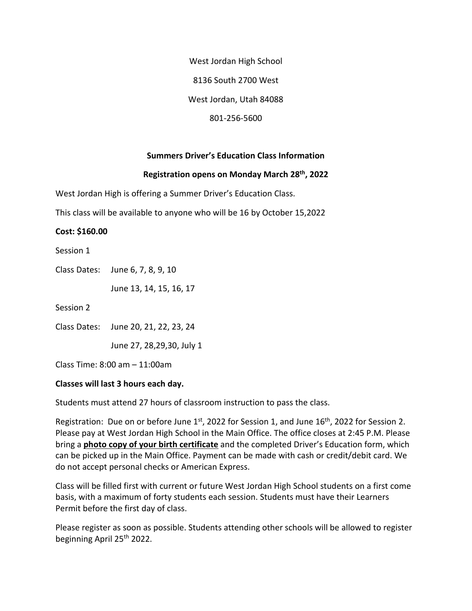West Jordan High School 8136 South 2700 West West Jordan, Utah 84088 801-256-5600

## **Summers Driver's Education Class Information**

### **Registration opens on Monday March 28th, 2022**

West Jordan High is offering a Summer Driver's Education Class.

This class will be available to anyone who will be 16 by October 15,2022

#### **Cost: \$160.00**

Session 1

Class Dates: June 6, 7, 8, 9, 10

June 13, 14, 15, 16, 17

Session 2

Class Dates: June 20, 21, 22, 23, 24

June 27, 28,29,30, July 1

Class Time: 8:00 am – 11:00am

#### **Classes will last 3 hours each day.**

Students must attend 27 hours of classroom instruction to pass the class.

Registration: Due on or before June  $1<sup>st</sup>$ , 2022 for Session 1, and June  $16<sup>th</sup>$ , 2022 for Session 2. Please pay at West Jordan High School in the Main Office. The office closes at 2:45 P.M. Please bring a **photo copy of your birth certificate** and the completed Driver's Education form, which can be picked up in the Main Office. Payment can be made with cash or credit/debit card. We do not accept personal checks or American Express.

Class will be filled first with current or future West Jordan High School students on a first come basis, with a maximum of forty students each session. Students must have their Learners Permit before the first day of class.

Please register as soon as possible. Students attending other schools will be allowed to register beginning April 25th 2022.